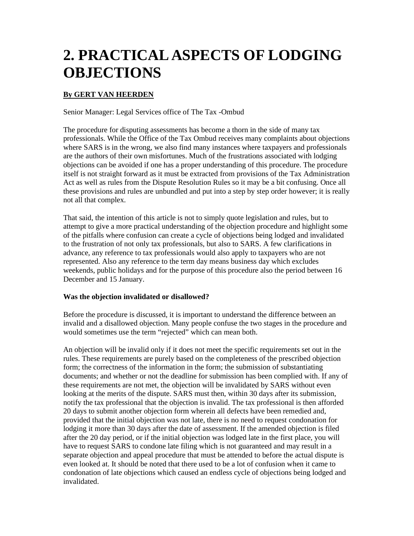# **2. PRACTICAL ASPECTS OF LODGING OBJECTIONS**

## **By GERT VAN HEERDEN**

Senior Manager: Legal Services office of The Tax -Ombud

The procedure for disputing assessments has become a thorn in the side of many tax professionals. While the Office of the Tax Ombud receives many complaints about objections where SARS is in the wrong, we also find many instances where taxpayers and professionals are the authors of their own misfortunes. Much of the frustrations associated with lodging objections can be avoided if one has a proper understanding of this procedure. The procedure itself is not straight forward as it must be extracted from provisions of the Tax Administration Act as well as rules from the Dispute Resolution Rules so it may be a bit confusing. Once all these provisions and rules are unbundled and put into a step by step order however; it is really not all that complex.

That said, the intention of this article is not to simply quote legislation and rules, but to attempt to give a more practical understanding of the objection procedure and highlight some of the pitfalls where confusion can create a cycle of objections being lodged and invalidated to the frustration of not only tax professionals, but also to SARS. A few clarifications in advance, any reference to tax professionals would also apply to taxpayers who are not represented. Also any reference to the term day means business day which excludes weekends, public holidays and for the purpose of this procedure also the period between 16 December and 15 January.

## **Was the objection invalidated or disallowed?**

Before the procedure is discussed, it is important to understand the difference between an invalid and a disallowed objection. Many people confuse the two stages in the procedure and would sometimes use the term "rejected" which can mean both.

An objection will be invalid only if it does not meet the specific requirements set out in the rules. These requirements are purely based on the completeness of the prescribed objection form; the correctness of the information in the form; the submission of substantiating documents; and whether or not the deadline for submission has been complied with. If any of these requirements are not met, the objection will be invalidated by SARS without even looking at the merits of the dispute. SARS must then, within 30 days after its submission, notify the tax professional that the objection is invalid. The tax professional is then afforded 20 days to submit another objection form wherein all defects have been remedied and, provided that the initial objection was not late, there is no need to request condonation for lodging it more than 30 days after the date of assessment. If the amended objection is filed after the 20 day period, or if the initial objection was lodged late in the first place, you will have to request SARS to condone late filing which is not guaranteed and may result in a separate objection and appeal procedure that must be attended to before the actual dispute is even looked at. It should be noted that there used to be a lot of confusion when it came to condonation of late objections which caused an endless cycle of objections being lodged and invalidated.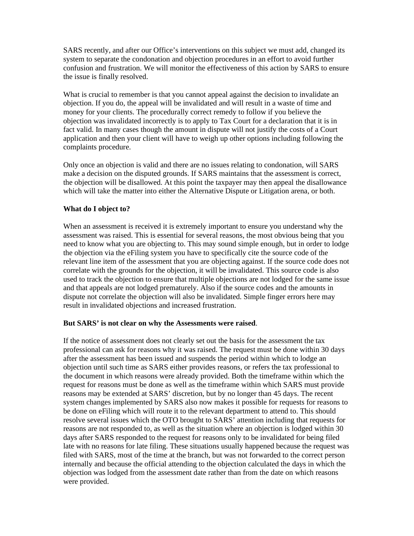SARS recently, and after our Office's interventions on this subject we must add, changed its system to separate the condonation and objection procedures in an effort to avoid further confusion and frustration. We will monitor the effectiveness of this action by SARS to ensure the issue is finally resolved.

What is crucial to remember is that you cannot appeal against the decision to invalidate an objection. If you do, the appeal will be invalidated and will result in a waste of time and money for your clients. The procedurally correct remedy to follow if you believe the objection was invalidated incorrectly is to apply to Tax Court for a declaration that it is in fact valid. In many cases though the amount in dispute will not justify the costs of a Court application and then your client will have to weigh up other options including following the complaints procedure.

Only once an objection is valid and there are no issues relating to condonation, will SARS make a decision on the disputed grounds. If SARS maintains that the assessment is correct, the objection will be disallowed. At this point the taxpayer may then appeal the disallowance which will take the matter into either the Alternative Dispute or Litigation arena, or both.

#### **What do I object to?**

When an assessment is received it is extremely important to ensure you understand why the assessment was raised. This is essential for several reasons, the most obvious being that you need to know what you are objecting to. This may sound simple enough, but in order to lodge the objection via the eFiling system you have to specifically cite the source code of the relevant line item of the assessment that you are objecting against. If the source code does not correlate with the grounds for the objection, it will be invalidated. This source code is also used to track the objection to ensure that multiple objections are not lodged for the same issue and that appeals are not lodged prematurely. Also if the source codes and the amounts in dispute not correlate the objection will also be invalidated. Simple finger errors here may result in invalidated objections and increased frustration.

#### **But SARS' is not clear on why the Assessments were raised**.

If the notice of assessment does not clearly set out the basis for the assessment the tax professional can ask for reasons why it was raised. The request must be done within 30 days after the assessment has been issued and suspends the period within which to lodge an objection until such time as SARS either provides reasons, or refers the tax professional to the document in which reasons were already provided. Both the timeframe within which the request for reasons must be done as well as the timeframe within which SARS must provide reasons may be extended at SARS' discretion, but by no longer than 45 days. The recent system changes implemented by SARS also now makes it possible for requests for reasons to be done on eFiling which will route it to the relevant department to attend to. This should resolve several issues which the OTO brought to SARS' attention including that requests for reasons are not responded to, as well as the situation where an objection is lodged within 30 days after SARS responded to the request for reasons only to be invalidated for being filed late with no reasons for late filing. These situations usually happened because the request was filed with SARS, most of the time at the branch, but was not forwarded to the correct person internally and because the official attending to the objection calculated the days in which the objection was lodged from the assessment date rather than from the date on which reasons were provided.